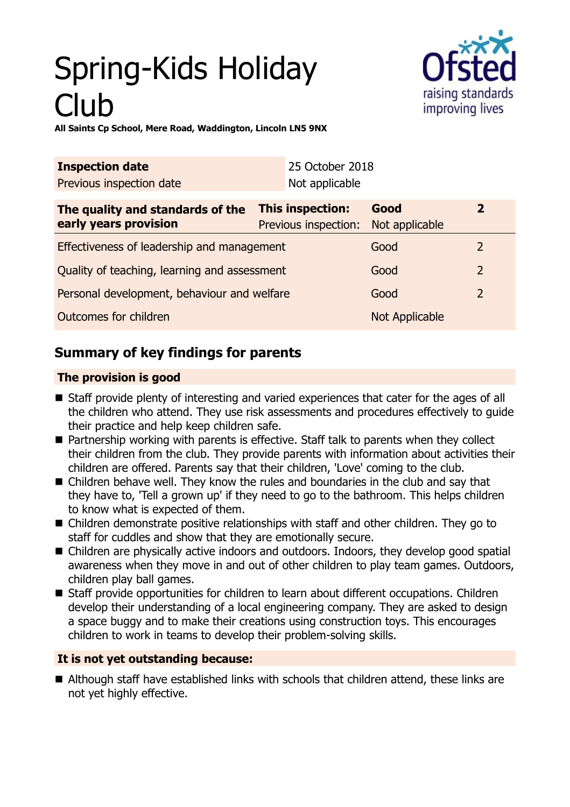# Spring-Kids Holiday Club



**All Saints Cp School, Mere Road, Waddington, Lincoln LN5 9NX**

| <b>Inspection date</b>                                    |                                                 | 25 October 2018 |                        |                |
|-----------------------------------------------------------|-------------------------------------------------|-----------------|------------------------|----------------|
| Previous inspection date                                  |                                                 | Not applicable  |                        |                |
| The quality and standards of the<br>early years provision | <b>This inspection:</b><br>Previous inspection: |                 | Good<br>Not applicable | $\overline{2}$ |
| Effectiveness of leadership and management                |                                                 |                 | Good                   | $\overline{2}$ |
| Quality of teaching, learning and assessment              |                                                 |                 | Good                   | $\overline{2}$ |
| Personal development, behaviour and welfare               |                                                 |                 | Good                   | $\overline{2}$ |
| Outcomes for children                                     |                                                 |                 | Not Applicable         |                |

# **Summary of key findings for parents**

## **The provision is good**

- Staff provide plenty of interesting and varied experiences that cater for the ages of all the children who attend. They use risk assessments and procedures effectively to guide their practice and help keep children safe.
- Partnership working with parents is effective. Staff talk to parents when they collect their children from the club. They provide parents with information about activities their children are offered. Parents say that their children, 'Love' coming to the club.
- $\blacksquare$  Children behave well. They know the rules and boundaries in the club and say that they have to, 'Tell a grown up' if they need to go to the bathroom. This helps children to know what is expected of them.
- $\blacksquare$  Children demonstrate positive relationships with staff and other children. They go to staff for cuddles and show that they are emotionally secure.
- Children are physically active indoors and outdoors. Indoors, they develop good spatial awareness when they move in and out of other children to play team games. Outdoors, children play ball games.
- Staff provide opportunities for children to learn about different occupations. Children develop their understanding of a local engineering company. They are asked to design a space buggy and to make their creations using construction toys. This encourages children to work in teams to develop their problem-solving skills.

## **It is not yet outstanding because:**

■ Although staff have established links with schools that children attend, these links are not yet highly effective.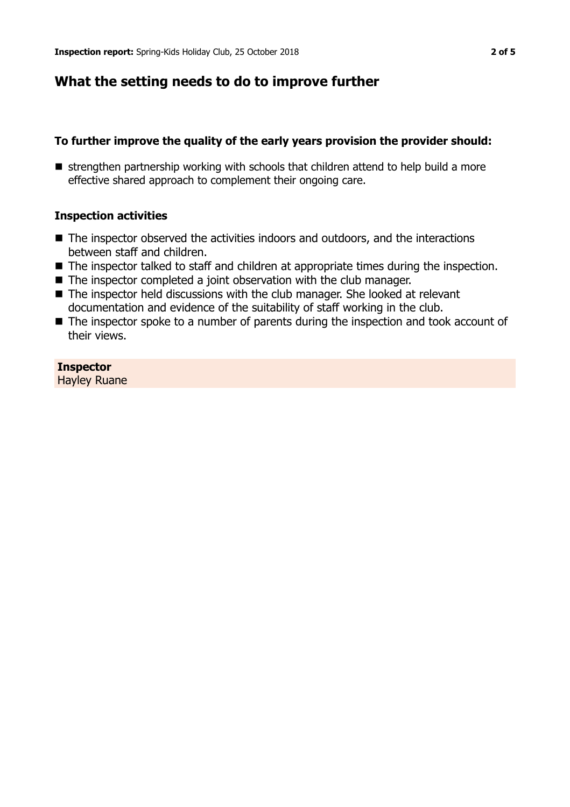# **What the setting needs to do to improve further**

#### **To further improve the quality of the early years provision the provider should:**

■ strengthen partnership working with schools that children attend to help build a more effective shared approach to complement their ongoing care.

#### **Inspection activities**

- $\blacksquare$  The inspector observed the activities indoors and outdoors, and the interactions between staff and children.
- $\blacksquare$  The inspector talked to staff and children at appropriate times during the inspection.
- $\blacksquare$  The inspector completed a joint observation with the club manager.
- $\blacksquare$  The inspector held discussions with the club manager. She looked at relevant documentation and evidence of the suitability of staff working in the club.
- $\blacksquare$  The inspector spoke to a number of parents during the inspection and took account of their views.

## **Inspector**

Hayley Ruane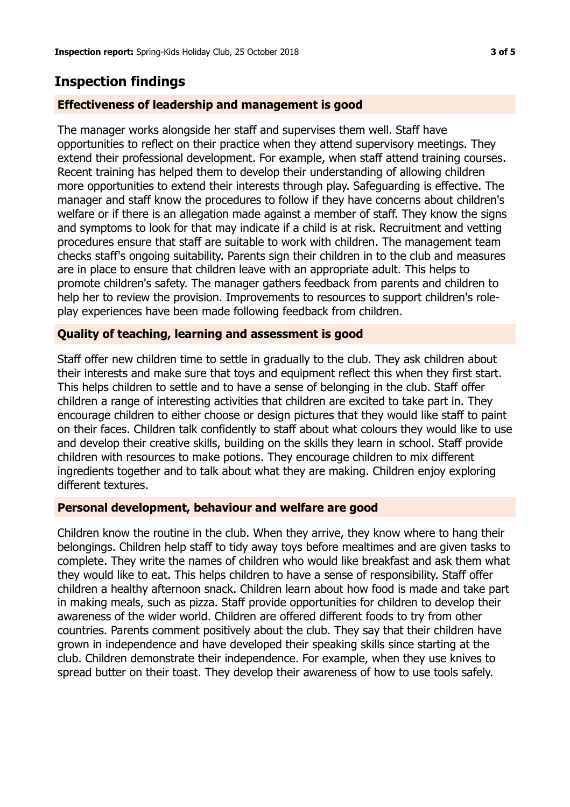# **Inspection findings**

## **Effectiveness of leadership and management is good**

The manager works alongside her staff and supervises them well. Staff have opportunities to reflect on their practice when they attend supervisory meetings. They extend their professional development. For example, when staff attend training courses. Recent training has helped them to develop their understanding of allowing children more opportunities to extend their interests through play. Safeguarding is effective. The manager and staff know the procedures to follow if they have concerns about children's welfare or if there is an allegation made against a member of staff. They know the signs and symptoms to look for that may indicate if a child is at risk. Recruitment and vetting procedures ensure that staff are suitable to work with children. The management team checks staff's ongoing suitability. Parents sign their children in to the club and measures are in place to ensure that children leave with an appropriate adult. This helps to promote children's safety. The manager gathers feedback from parents and children to help her to review the provision. Improvements to resources to support children's roleplay experiences have been made following feedback from children.

## **Quality of teaching, learning and assessment is good**

Staff offer new children time to settle in gradually to the club. They ask children about their interests and make sure that toys and equipment reflect this when they first start. This helps children to settle and to have a sense of belonging in the club. Staff offer children a range of interesting activities that children are excited to take part in. They encourage children to either choose or design pictures that they would like staff to paint on their faces. Children talk confidently to staff about what colours they would like to use and develop their creative skills, building on the skills they learn in school. Staff provide children with resources to make potions. They encourage children to mix different ingredients together and to talk about what they are making. Children enjoy exploring different textures.

## **Personal development, behaviour and welfare are good**

Children know the routine in the club. When they arrive, they know where to hang their belongings. Children help staff to tidy away toys before mealtimes and are given tasks to complete. They write the names of children who would like breakfast and ask them what they would like to eat. This helps children to have a sense of responsibility. Staff offer children a healthy afternoon snack. Children learn about how food is made and take part in making meals, such as pizza. Staff provide opportunities for children to develop their awareness of the wider world. Children are offered different foods to try from other countries. Parents comment positively about the club. They say that their children have grown in independence and have developed their speaking skills since starting at the club. Children demonstrate their independence. For example, when they use knives to spread butter on their toast. They develop their awareness of how to use tools safely.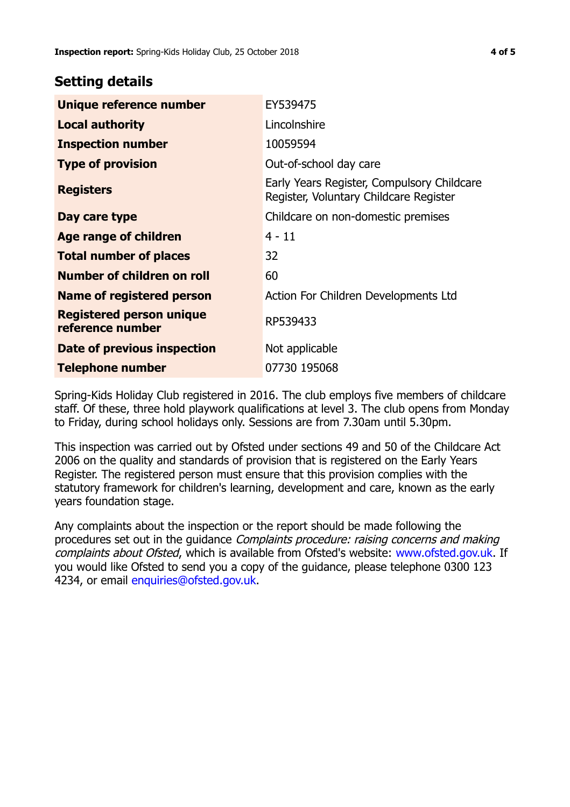# **Setting details**

| Unique reference number                             | EY539475                                                                             |  |
|-----------------------------------------------------|--------------------------------------------------------------------------------------|--|
| <b>Local authority</b>                              | Lincolnshire                                                                         |  |
| <b>Inspection number</b>                            | 10059594                                                                             |  |
| <b>Type of provision</b>                            | Out-of-school day care                                                               |  |
| <b>Registers</b>                                    | Early Years Register, Compulsory Childcare<br>Register, Voluntary Childcare Register |  |
| Day care type                                       | Childcare on non-domestic premises                                                   |  |
| <b>Age range of children</b>                        | $4 - 11$                                                                             |  |
| <b>Total number of places</b>                       | 32                                                                                   |  |
| Number of children on roll                          | 60                                                                                   |  |
| Name of registered person                           | Action For Children Developments Ltd                                                 |  |
| <b>Registered person unique</b><br>reference number | RP539433                                                                             |  |
| Date of previous inspection                         | Not applicable                                                                       |  |
| <b>Telephone number</b>                             | 07730 195068                                                                         |  |

Spring-Kids Holiday Club registered in 2016. The club employs five members of childcare staff. Of these, three hold playwork qualifications at level 3. The club opens from Monday to Friday, during school holidays only. Sessions are from 7.30am until 5.30pm.

This inspection was carried out by Ofsted under sections 49 and 50 of the Childcare Act 2006 on the quality and standards of provision that is registered on the Early Years Register. The registered person must ensure that this provision complies with the statutory framework for children's learning, development and care, known as the early years foundation stage.

Any complaints about the inspection or the report should be made following the procedures set out in the guidance Complaints procedure: raising concerns and making complaints about Ofsted, which is available from Ofsted's website: www.ofsted.gov.uk. If you would like Ofsted to send you a copy of the guidance, please telephone 0300 123 4234, or email [enquiries@ofsted.gov.uk.](mailto:enquiries@ofsted.gov.uk)